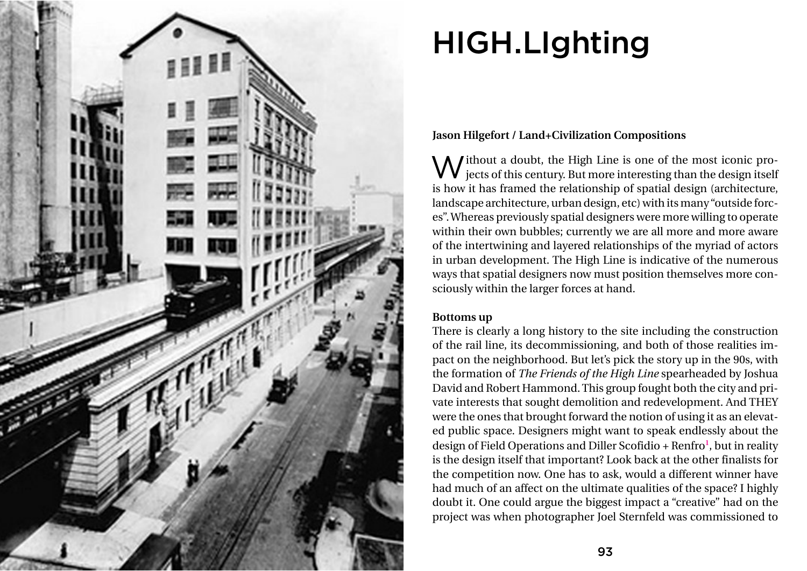

# HIGH.LIghting

# **Jason Hilgefort / Land+Civilization Compositions**

Without a doubt, the High Line is one of the most iconic projects of this century. But more interesting than the design itself A *l*ithout a doubt, the High Line is one of the most iconic prois how it has framed the relationship of spatial design (architecture, landscape architecture, urban design, etc) with its many "outside forc es". Whereas previously spatial designers were more willing to operate within their own bubbles; currently we are all more and more aware of the intertwining and layered relationships of the myriad of actors in urban development. The High Line is indicative of the numerous ways that spatial designers now must position themselves more con sciously within the larger forces at hand.

# **Bottoms up**

There is clearly a long history to the site including the construction of the rail line, its decommissioning, and both of those realities im pact on the neighborhood. But let's pick the story up in the 90s, with the formation of *The Friends of the High Line* spearheaded by Joshua David and Robert Hammond. This group fought both the city and pri vate interests that sought demolition and redevelopment. And THEY were the ones that brought forward the notion of using it as an elevat ed public space. Designers might want to speak endlessly about the design of Field Operations and Diller Scofidio + Renfro<sup>1</sup>, but in reality is the design itself that important? Look back at the other finalists for the competition now. One has to ask, would a different winner have had much of an affect on the ultimate qualities of the space? I highly doubt it. One could argue the biggest impact a "creative" had on the project was when photographer Joel Sternfeld was commissioned to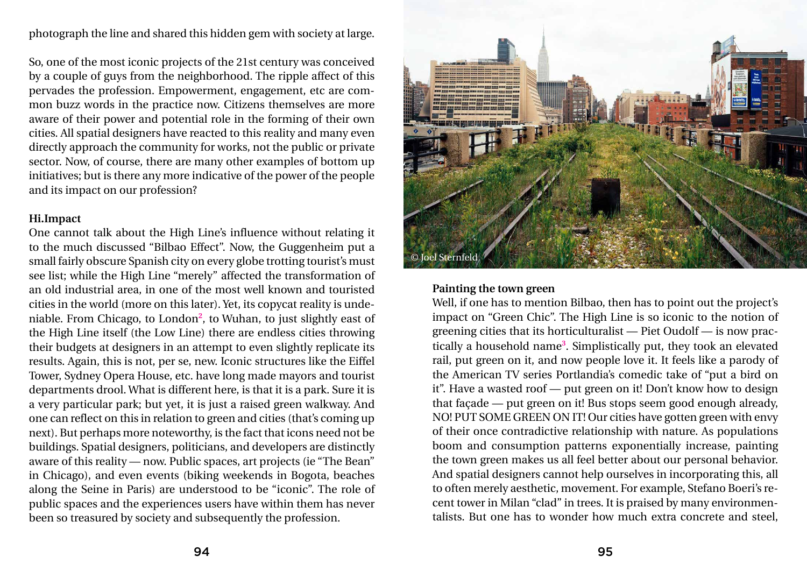photograph the line and shared this hidden gem with society at large.

So, one of the most iconic projects of the 21st century was conceived by a couple of guys from the neighborhood. The ripple affect of this pervades the profession. Empowerment, engagement, etc are common buzz words in the practice now. Citizens themselves are more aware of their power and potential role in the forming of their own cities. All spatial designers have reacted to this reality and many even directly approach the community for works, not the public or private sector. Now, of course, there are many other examples of bottom up initiatives; but is there any more indicative of the power of the people and its impact on our profession?

# **Hi.Impact**

One cannot talk about the High Line's influence without relating it to the much discussed "Bilbao Effect". Now, the Guggenheim put a small fairly obscure Spanish city on every globe trotting tourist's must see list; while the High Line "merely" affected the transformation of an old industrial area, in one of the most well known and touristed cities in the world (more on this later). Yet, its copycat reality is undeniable. From Chicago, to London**<sup>2</sup>** , to Wuhan, to just slightly east of the High Line itself (the Low Line) there are endless cities throwing their budgets at designers in an attempt to even slightly replicate its results. Again, this is not, per se, new. Iconic structures like the Eiffel Tower, Sydney Opera House, etc. have long made mayors and tourist departments drool. What is different here, is that it is a park. Sure it is a very particular park; but yet, it is just a raised green walkway. And one can reflect on this in relation to green and cities (that's coming up next). But perhaps more noteworthy, is the fact that icons need not be buildings. Spatial designers, politicians, and developers are distinctly aware of this reality — now. Public spaces, art projects (ie "The Bean" in Chicago), and even events (biking weekends in Bogota, beaches along the Seine in Paris) are understood to be "iconic". The role of public spaces and the experiences users have within them has never been so treasured by society and subsequently the profession.

#### **Painting the town green**

Well, if one has to mention Bilbao, then has to point out the project's impact on "Green Chic". The High Line is so iconic to the notion of greening cities that its horticulturalist — Piet Oudolf — is now practically a household name**<sup>3</sup>** . Simplistically put, they took an elevated rail, put green on it, and now people love it. It feels like a parody of the American TV series Portlandia's comedic take of "put a bird on it". Have a wasted roof — put green on it! Don't know how to design that façade — put green on it! Bus stops seem good enough already, NO! PUT SOME GREEN ON IT! Our cities have gotten green with envy of their once contradictive relationship with nature. As populations boom and consumption patterns exponentially increase, painting the town green makes us all feel better about our personal behavior. And spatial designers cannot help ourselves in incorporating this, all to often merely aesthetic, movement. For example, Stefano Boeri's recent tower in Milan "clad" in trees. It is praised by many environmentalists. But one has to wonder how much extra concrete and steel,

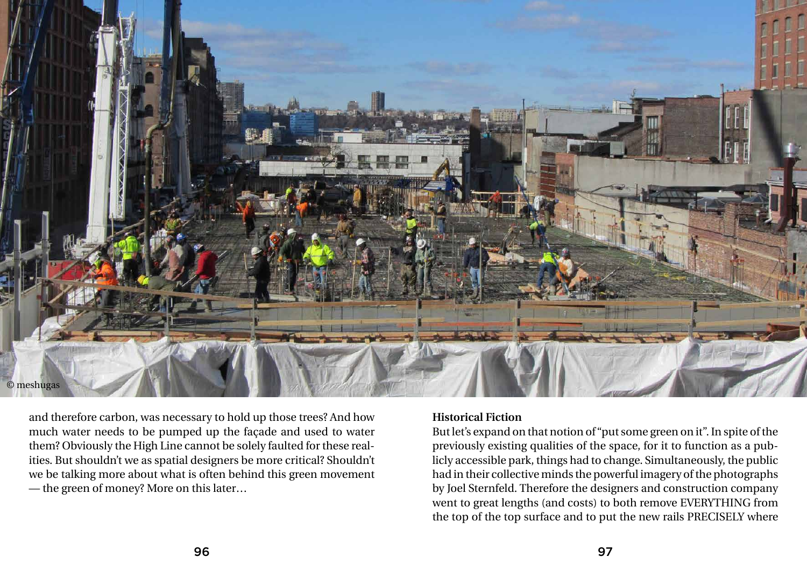and therefore carbon, was necessary to hold up those trees? And how much water needs to be pumped up the façade and used to water them? Obviously the High Line cannot be solely faulted for these realities. But shouldn't we as spatial designers be more critical? Shouldn't we be talking more about what is often behind this green movement — the green of money? More on this later…

### **Historical Fiction**

But let's expand on that notion of "put some green on it". In spite of the previously existing qualities of the space, for it to function as a publicly accessible park, things had to change. Simultaneously, the public had in their collective minds the powerful imagery of the photographs by Joel Sternfeld. Therefore the designers and construction company went to great lengths (and costs) to both remove EVERYTHING from the top of the top surface and to put the new rails PRECISELY where

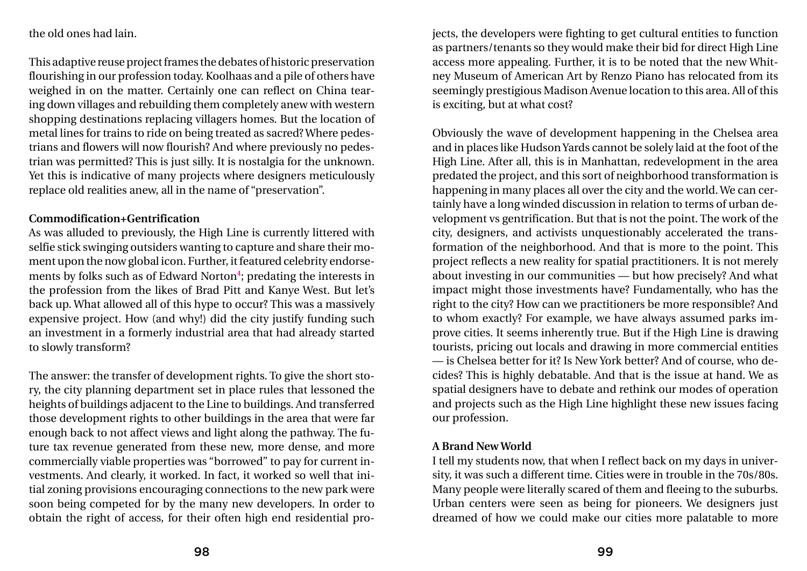the old ones had lain.

This adaptive reuse project frames the debates of historic preservation flourishing in our profession today. Koolhaas and a pile of others have weighed in on the matter. Certainly one can reflect on China tearing down villages and rebuilding them completely anew with western shopping destinations replacing villagers homes. But the location of metal lines for trains to ride on being treated as sacred? Where pedestrians and flowers will now flourish? And where previously no pedestrian was permitted? This is just silly. It is nostalgia for the unknown. Yet this is indicative of many projects where designers meticulously replace old realities anew, all in the name of "preservation".

# **Commodification+Gentrification**

As was alluded to previously, the High Line is currently littered with selfie stick swinging outsiders wanting to capture and share their moment upon the now global icon. Further, it featured celebrity endorsements by folks such as of Edward Norton**<sup>4</sup>** ; predating the interests in the profession from the likes of Brad Pitt and Kanye West. But let's back up. What allowed all of this hype to occur? This was a massively expensive project. How (and why!) did the city justify funding such an investment in a formerly industrial area that had already started to slowly transform?

The answer: the transfer of development rights. To give the short story, the city planning department set in place rules that lessoned the heights of buildings adjacent to the Line to buildings. And transferred those development rights to other buildings in the area that were far enough back to not affect views and light along the pathway. The future tax revenue generated from these new, more dense, and more commercially viable properties was "borrowed" to pay for current investments. And clearly, it worked. In fact, it worked so well that initial zoning provisions encouraging connections to the new park were soon being competed for by the many new developers. In order to obtain the right of access, for their often high end residential projects, the developers were fighting to get cultural entities to function as partners/tenants so they would make their bid for direct High Line access more appealing. Further, it is to be noted that the new Whitney Museum of American Art by Renzo Piano has relocated from its seemingly prestigious Madison Avenue location to this area. All of this is exciting, but at what cost?

Obviously the wave of development happening in the Chelsea area and in places like Hudson Yards cannot be solely laid at the foot of the High Line. After all, this is in Manhattan, redevelopment in the area predated the project, and this sort of neighborhood transformation is happening in many places all over the city and the world. We can certainly have a long winded discussion in relation to terms of urban development vs gentrification. But that is not the point. The work of the city, designers, and activists unquestionably accelerated the transformation of the neighborhood. And that is more to the point. This project reflects a new reality for spatial practitioners. It is not merely about investing in our communities — but how precisely? And what impact might those investments have? Fundamentally, who has the right to the city? How can we practitioners be more responsible? And to whom exactly? For example, we have always assumed parks improve cities. It seems inherently true. But if the High Line is drawing tourists, pricing out locals and drawing in more commercial entities — is Chelsea better for it? Is New York better? And of course, who decides? This is highly debatable. And that is the issue at hand. We as spatial designers have to debate and rethink our modes of operation and projects such as the High Line highlight these new issues facing our profession.

# **A Brand New World**

I tell my students now, that when I reflect back on my days in university, it was such a different time. Cities were in trouble in the 70s/80s. Many people were literally scared of them and fleeing to the suburbs. Urban centers were seen as being for pioneers. We designers just dreamed of how we could make our cities more palatable to more